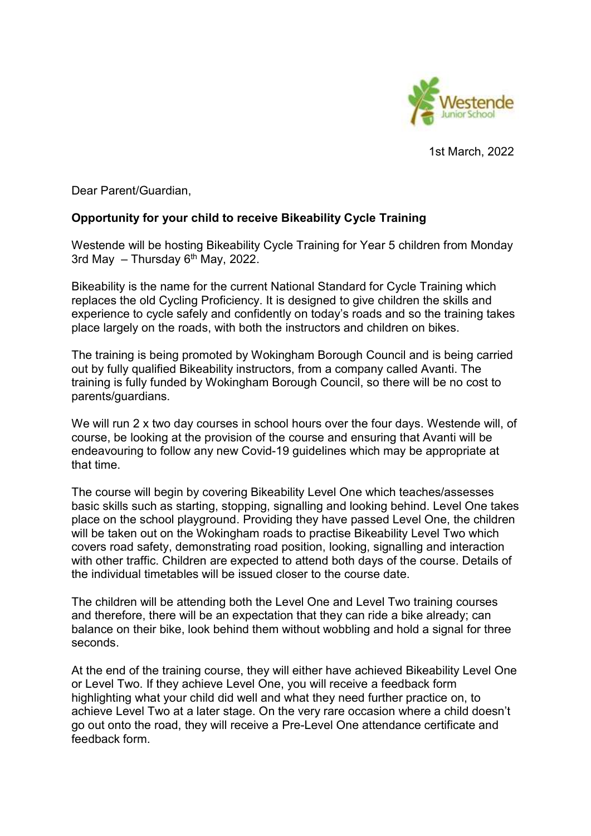

1st March, 2022

Dear Parent/Guardian,

## Opportunity for your child to receive Bikeability Cycle Training

Westende will be hosting Bikeability Cycle Training for Year 5 children from Monday 3rd May  $-$  Thursday  $6<sup>th</sup>$  May, 2022.

Bikeability is the name for the current National Standard for Cycle Training which replaces the old Cycling Proficiency. It is designed to give children the skills and experience to cycle safely and confidently on today's roads and so the training takes place largely on the roads, with both the instructors and children on bikes.

The training is being promoted by Wokingham Borough Council and is being carried out by fully qualified Bikeability instructors, from a company called Avanti. The training is fully funded by Wokingham Borough Council, so there will be no cost to parents/guardians.

We will run 2 x two day courses in school hours over the four days. Westende will, of course, be looking at the provision of the course and ensuring that Avanti will be endeavouring to follow any new Covid-19 guidelines which may be appropriate at that time.

The course will begin by covering Bikeability Level One which teaches/assesses basic skills such as starting, stopping, signalling and looking behind. Level One takes place on the school playground. Providing they have passed Level One, the children will be taken out on the Wokingham roads to practise Bikeability Level Two which covers road safety, demonstrating road position, looking, signalling and interaction with other traffic. Children are expected to attend both days of the course. Details of the individual timetables will be issued closer to the course date.

The children will be attending both the Level One and Level Two training courses and therefore, there will be an expectation that they can ride a bike already; can balance on their bike, look behind them without wobbling and hold a signal for three seconds.

At the end of the training course, they will either have achieved Bikeability Level One or Level Two. If they achieve Level One, you will receive a feedback form highlighting what your child did well and what they need further practice on, to achieve Level Two at a later stage. On the very rare occasion where a child doesn't go out onto the road, they will receive a Pre-Level One attendance certificate and feedback form.